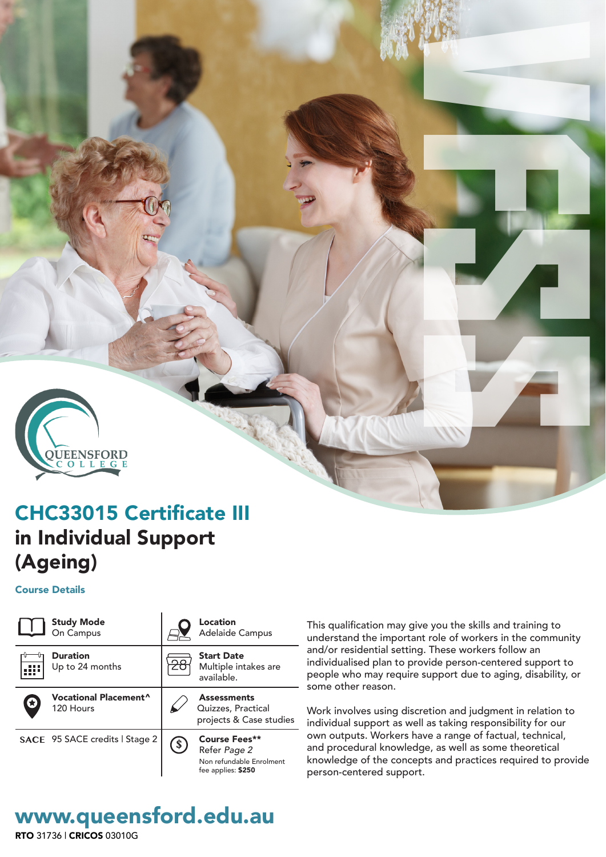

# CHC33015 Certificate III in Individual Support (Ageing)

### Course Details



This qualification may give you the skills and training to understand the important role of workers in the community and/or residential setting. These workers follow an individualised plan to provide person-centered support to people who may require support due to aging, disability, or some other reason.

Work involves using discretion and judgment in relation to individual support as well as taking responsibility for our own outputs. Workers have a range of factual, technical, and procedural knowledge, as well as some theoretical knowledge of the concepts and practices required to provide

# www.queensford.edu.au

RTO 31736 | CRICOS 03010G